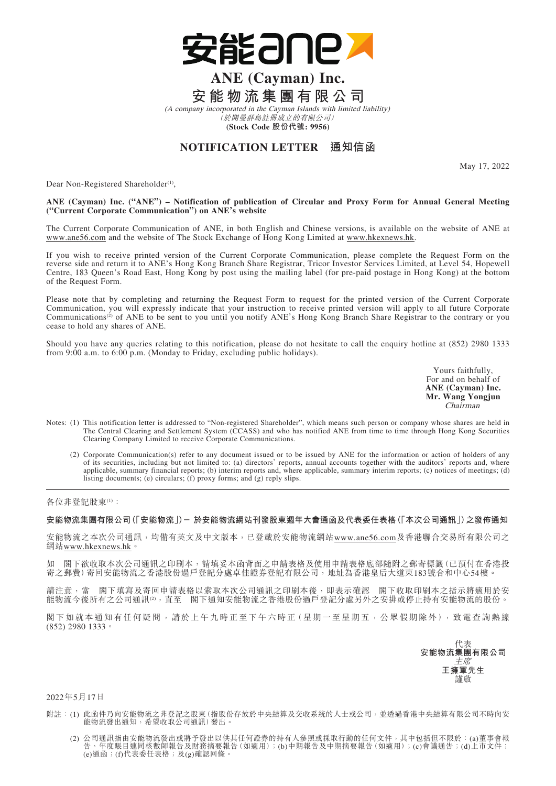

# **ANE (Cayman) Inc. 安能物流集團有限公司**

(A company incorporated in the Cayman Islands with limited liability) (於開曼群島註冊成立的有限公司) **(Stock Code 股份代號: 9956)**

## **NOTIFICATION LETTER 通知信函**

May 17, 2022

Dear Non-Registered Shareholder<sup>(1)</sup>,

#### **ANE (Cayman) Inc. ("ANE") – Notification of publication of Circular and Proxy Form for Annual General Meeting ("Current Corporate Communication") on ANE's website**

The Current Corporate Communication of ANE, in both English and Chinese versions, is available on the website of ANE at www.ane56.com and the website of The Stock Exchange of Hong Kong Limited at www.hkexnews.hk.

If you wish to receive printed version of the Current Corporate Communication, please complete the Request Form on the reverse side and return it to ANE's Hong Kong Branch Share Registrar, Tricor Investor Services Limited, at Level 54, Hopewell Centre, 183 Queen's Road East, Hong Kong by post using the mailing label (for pre-paid postage in Hong Kong) at the bottom of the Request Form.

Please note that by completing and returning the Request Form to request for the printed version of the Current Corporate Communication, you will expressly indicate that your instruction to receive printed version will apply to all future Corporate Communications<sup>(2)</sup> of ANE to be sent to you until you notify ANE's Hong Kong Branch Share Registrar to the contrary or you cease to hold any shares of ANE.

Should you have any queries relating to this notification, please do not hesitate to call the enquiry hotline at (852) 2980 1333 from 9:00 a.m. to 6:00 p.m. (Monday to Friday, excluding public holidays).

> Yours faithfully, For and on behalf of **ANE (Cayman) Inc. Mr. Wang Yongjun** Chairman

- Notes: (1) This notification letter is addressed to "Non-registered Shareholder", which means such person or company whose shares are held in The Central Clearing and Settlement System (CCASS) and who has notified ANE from time to time through Hong Kong Securities Clearing Company Limited to receive Corporate Communications.
	- (2) Corporate Communication(s) refer to any document issued or to be issued by ANE for the information or action of holders of any of its securities, including but not limited to: (a) directors' reports, annual accounts together with the auditors' reports and, where applicable, summary financial reports; (b) interim reports and, where applicable, summary interim reports; (c) notices of meetings; (d) listing documents; (e) circulars; (f) proxy forms; and (g) reply slips.

各位非登記股東(1):

## **安能物流集團有限公司(「安能物流」)- 於安能物流網站刊發股東週年大會通函及代表委任表格(「本次公司通訊」)之發佈通知**

安能物流之本次公司通訊,均備有英文及中文版本,已登載於安能物流網站www.ane56.com及香港聯合交易所有限公司之 網站www.hkexnews.hk。

如 閣下欲收取本次公司通訊之印刷本,請填妥本函背面之申請表格及使用申請表格底部隨附之郵寄標籤(已預付在香港投 寄之郵費)寄回安能物流之香港股份過戶登記分處卓佳證券登記有限公司,地址為香港皇后大道東183號合和中心54樓。

請注意,當 閣下填寫及寄回申請表格以索取本次公司通訊之印刷本後,即表示確認 閣下收取印刷本之指示將適用於安 能物流今後所有之公司通訊(2),直至 閣下通知安能物流之香港股份過戶登記分處另外之安排或停止持有安能物流的股份。

閣下如就本通知有任何疑問,請於上午九時正至下午六時正(星期一至星期五,公眾假期除外),致電查詢熱線 (852) 2980 1333。

代表 **安能物流集團有限公司** 主席 **王擁軍先生** 謹啟

### 2022年5月17日

- 附註:(1) 此函件乃向安能物流之非登記之股東(指股份存放於中央結算及交收系統的人士或公司,並透過香港中央結算有限公司不時向安 能物流發出通知,希望收取公司通訊)發出。
- (2) 公司通訊指由安能物流發出或將予發出以供其任何證券的持有人參照或採取行動的任何文件,其中包括但不限於:(a)董事會報 告、年度賬目連同核數師報告及財務摘要報告(如適用);(b)中期報告及中期摘要報告(如適用);(c)會議通告;(d)上市文件;  $\overbrace{(\epsilon)}$ 通函;(f)代表委任表格;及 $\overbrace{(\epsilon)}$ 確認回條。